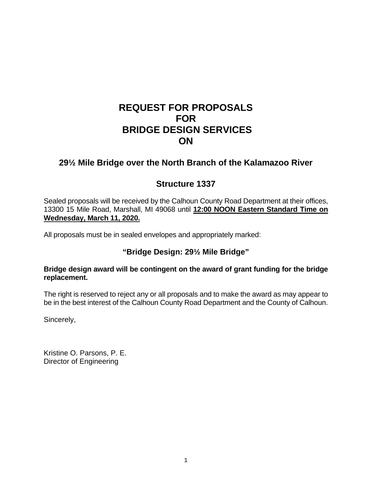# **REQUEST FOR PROPOSALS FOR BRIDGE DESIGN SERVICES ON**

## **29½ Mile Bridge over the North Branch of the Kalamazoo River**

## **Structure 1337**

Sealed proposals will be received by the Calhoun County Road Department at their offices, 13300 15 Mile Road, Marshall, MI 49068 until **12:00 NOON Eastern Standard Time on Wednesday, March 11, 2020.**

All proposals must be in sealed envelopes and appropriately marked:

## **"Bridge Design: 29½ Mile Bridge"**

#### **Bridge design award will be contingent on the award of grant funding for the bridge replacement.**

The right is reserved to reject any or all proposals and to make the award as may appear to be in the best interest of the Calhoun County Road Department and the County of Calhoun.

Sincerely,

Kristine O. Parsons, P. E. Director of Engineering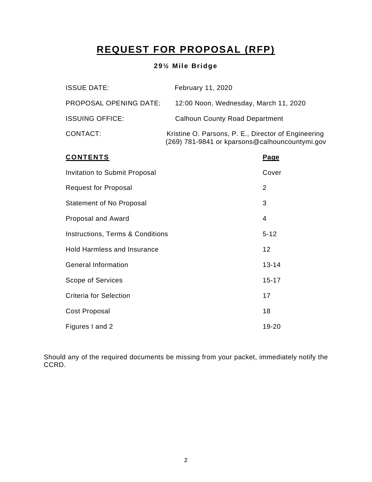# **REQUEST FOR PROPOSAL (RFP)**

## **29½ Mile Bridge**

| <b>ISSUE DATE:</b>     | February 11, 2020                                                                                     |
|------------------------|-------------------------------------------------------------------------------------------------------|
| PROPOSAL OPENING DATE: | 12:00 Noon, Wednesday, March 11, 2020                                                                 |
| <b>ISSUING OFFICE:</b> | <b>Calhoun County Road Department</b>                                                                 |
| CONTACT:               | Kristine O. Parsons, P. E., Director of Engineering<br>(269) 781-9841 or kparsons@calhouncountymi.gov |

| <b>CONTENTS</b>                             | <b>Page</b> |
|---------------------------------------------|-------------|
| <b>Invitation to Submit Proposal</b>        | Cover       |
| <b>Request for Proposal</b>                 | 2           |
| <b>Statement of No Proposal</b>             | 3           |
| Proposal and Award                          | 4           |
| <b>Instructions, Terms &amp; Conditions</b> | $5 - 12$    |
| <b>Hold Harmless and Insurance</b>          | 12          |
| <b>General Information</b>                  | $13 - 14$   |
| Scope of Services                           | $15 - 17$   |
| <b>Criteria for Selection</b>               | 17          |
| Cost Proposal                               | 18          |
| Figures I and 2                             | 19-20       |

Should any of the required documents be missing from your packet, immediately notify the CCRD.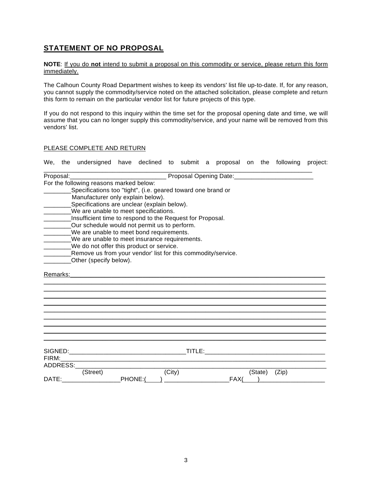## **STATEMENT OF NO PROPOSAL**

**NOTE**: If you do **not** intend to submit a proposal on this commodity or service, please return this form immediately.

The Calhoun County Road Department wishes to keep its vendors' list file up-to-date. If, for any reason, you cannot supply the commodity/service noted on the attached solicitation, please complete and return this form to remain on the particular vendor list for future projects of this type.

If you do not respond to this inquiry within the time set for the proposal opening date and time, we will assume that you can no longer supply this commodity/service, and your name will be removed from this vendors' list.

#### PLEASE COMPLETE AND RETURN

| We,   |          | the undersigned have declined to submit a proposal on the following project:                                                                                                                                                         |         |        |  |      |  |               |  |
|-------|----------|--------------------------------------------------------------------------------------------------------------------------------------------------------------------------------------------------------------------------------------|---------|--------|--|------|--|---------------|--|
|       |          | Proposal: <b>Maria Angle Brown and Community Contract Community Contract Community Contract Community Community Community Community Community Community Community Community Community Community Community Community Community Co</b> |         |        |  |      |  |               |  |
|       |          | For the following reasons marked below:                                                                                                                                                                                              |         |        |  |      |  |               |  |
|       |          | Specifications too "tight", (i.e. geared toward one brand or                                                                                                                                                                         |         |        |  |      |  |               |  |
|       |          | Manufacturer only explain below).                                                                                                                                                                                                    |         |        |  |      |  |               |  |
|       |          | Specifications are unclear (explain below).                                                                                                                                                                                          |         |        |  |      |  |               |  |
|       |          | ________We are unable to meet specifications.                                                                                                                                                                                        |         |        |  |      |  |               |  |
|       |          | __Insufficient time to respond to the Request for Proposal.                                                                                                                                                                          |         |        |  |      |  |               |  |
|       |          | ________Our schedule would not permit us to perform.                                                                                                                                                                                 |         |        |  |      |  |               |  |
|       |          | _______We are unable to meet bond requirements.                                                                                                                                                                                      |         |        |  |      |  |               |  |
|       |          | ________We are unable to meet insurance requirements.                                                                                                                                                                                |         |        |  |      |  |               |  |
|       |          | ________We do not offer this product or service.                                                                                                                                                                                     |         |        |  |      |  |               |  |
|       |          | Remove us from your vendor' list for this commodity/service.                                                                                                                                                                         |         |        |  |      |  |               |  |
|       |          | Other (specify below).                                                                                                                                                                                                               |         |        |  |      |  |               |  |
|       |          |                                                                                                                                                                                                                                      |         |        |  |      |  |               |  |
|       | Remarks: |                                                                                                                                                                                                                                      |         |        |  |      |  |               |  |
|       |          |                                                                                                                                                                                                                                      |         |        |  |      |  |               |  |
|       |          |                                                                                                                                                                                                                                      |         |        |  |      |  |               |  |
|       |          |                                                                                                                                                                                                                                      |         |        |  |      |  |               |  |
|       |          |                                                                                                                                                                                                                                      |         |        |  |      |  |               |  |
|       |          |                                                                                                                                                                                                                                      |         |        |  |      |  |               |  |
|       |          |                                                                                                                                                                                                                                      |         |        |  |      |  |               |  |
|       |          |                                                                                                                                                                                                                                      |         |        |  |      |  |               |  |
|       |          |                                                                                                                                                                                                                                      |         |        |  |      |  |               |  |
|       |          |                                                                                                                                                                                                                                      |         |        |  |      |  |               |  |
|       |          |                                                                                                                                                                                                                                      |         |        |  |      |  |               |  |
|       |          |                                                                                                                                                                                                                                      |         |        |  |      |  |               |  |
|       |          | ADDRESS:                                                                                                                                                                                                                             |         |        |  |      |  |               |  |
|       |          | (Street)                                                                                                                                                                                                                             |         | (City) |  |      |  | (State) (Zip) |  |
| DATE: |          |                                                                                                                                                                                                                                      | PHONE:( |        |  | FAX( |  |               |  |
|       |          |                                                                                                                                                                                                                                      |         |        |  |      |  |               |  |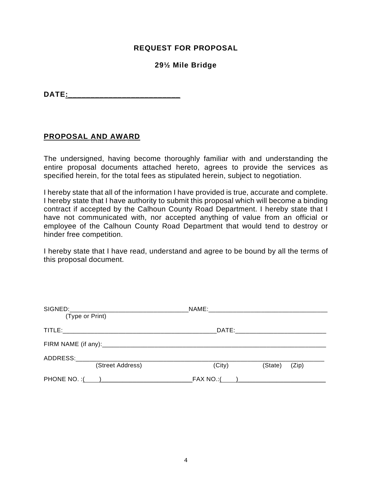## **REQUEST FOR PROPOSAL**

### **29½ Mile Bridge**

**DATE:** 

#### **PROPOSAL AND AWARD**

The undersigned, having become thoroughly familiar with and understanding the entire proposal documents attached hereto, agrees to provide the services as specified herein, for the total fees as stipulated herein, subject to negotiation.

I hereby state that all of the information I have provided is true, accurate and complete. I hereby state that I have authority to submit this proposal which will become a binding contract if accepted by the Calhoun County Road Department. I hereby state that I have not communicated with, nor accepted anything of value from an official or employee of the Calhoun County Road Department that would tend to destroy or hinder free competition.

I hereby state that I have read, understand and agree to be bound by all the terms of this proposal document.

| (Type or Print) |                  |                                                      |         |       |  |  |  |  |
|-----------------|------------------|------------------------------------------------------|---------|-------|--|--|--|--|
|                 |                  |                                                      |         |       |  |  |  |  |
|                 |                  |                                                      |         |       |  |  |  |  |
| ADDRESS:        |                  |                                                      |         |       |  |  |  |  |
|                 | (Street Address) | (City)                                               | (State) | (Zip) |  |  |  |  |
|                 |                  | FAX NO.:( ___ <u>_______________________________</u> |         |       |  |  |  |  |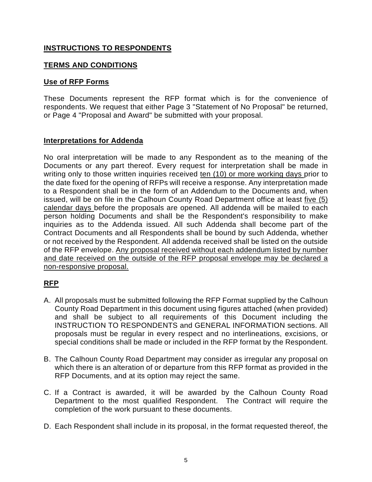## **INSTRUCTIONS TO RESPONDENTS**

## **TERMS AND CONDITIONS**

## **Use of RFP Forms**

These Documents represent the RFP format which is for the convenience of respondents. We request that either Page 3 "Statement of No Proposal" be returned, or Page 4 "Proposal and Award" be submitted with your proposal.

#### **Interpretations for Addenda**

No oral interpretation will be made to any Respondent as to the meaning of the Documents or any part thereof. Every request for interpretation shall be made in writing only to those written inquiries received ten (10) or more working days prior to the date fixed for the opening of RFPs will receive a response. Any interpretation made to a Respondent shall be in the form of an Addendum to the Documents and, when issued, will be on file in the Calhoun County Road Department office at least five (5) calendar days before the proposals are opened. All addenda will be mailed to each person holding Documents and shall be the Respondent's responsibility to make inquiries as to the Addenda issued. All such Addenda shall become part of the Contract Documents and all Respondents shall be bound by such Addenda, whether or not received by the Respondent. All addenda received shall be listed on the outside of the RFP envelope. Any proposal received without each addendum listed by number and date received on the outside of the RFP proposal envelope may be declared a non-responsive proposal.

## **RFP**

- A. All proposals must be submitted following the RFP Format supplied by the Calhoun County Road Department in this document using figures attached (when provided) and shall be subject to all requirements of this Document including the INSTRUCTION TO RESPONDENTS and GENERAL INFORMATION sections. All proposals must be regular in every respect and no interlineations, excisions, or special conditions shall be made or included in the RFP format by the Respondent.
- B. The Calhoun County Road Department may consider as irregular any proposal on which there is an alteration of or departure from this RFP [format as](http://format.as/) provided in the RFP Documents, and at its option may reject the same.
- C. If a Contract is awarded, it will be awarded by the Calhoun County Road Department to the most qualified Respondent. The Contract will require the completion of the work pursuant to these documents.
- D. Each Respondent shall include in its proposal, in the format requested thereof, the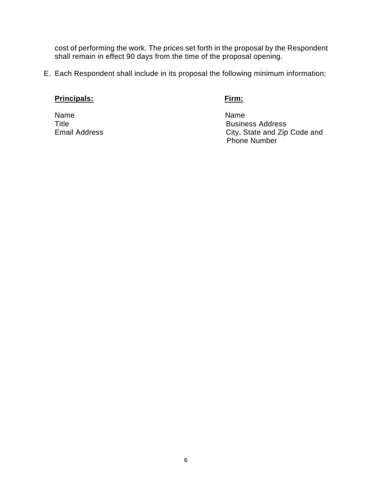cost of performing the work. The prices set forth in the proposal by the Respondent shall remain in effect 90 days from the time of the proposal opening.

E. Each Respondent shall include in its proposal the following minimum information:

## **Principals:** Firm:

Name Name

Title<br>
Email Address<br>
Email Address<br>
City, State and Zip City, State and Zip Code and Phone Number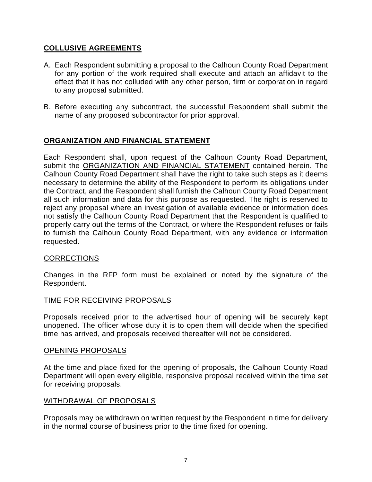## **COLLUSIVE AGREEMENTS**

- A. Each Respondent submitting a proposal to the Calhoun County Road Department for any portion of the work required shall execute and attach an affidavit to the effect that it has not colluded with any other person, firm or corporation in regard to any proposal submitted.
- B. Before executing any subcontract, the successful Respondent shall submit the name of any proposed subcontractor for prior approval.

## **ORGANIZATION AND FINANCIAL STATEMENT**

Each Respondent shall, upon request of the Calhoun County Road Department, submit the ORGANIZATION AND FINANCIAL STATEMENT contained herein. The Calhoun County Road Department shall have the right to take such steps as it deems necessary to determine the ability of the Respondent to perform its obligations under the Contract, and the Respondent shall furnish the Calhoun County Road Department all such information and data for this purpose as requested. The right is reserved to reject any proposal where an investigation of available evidence or information does not satisfy the Calhoun County Road Department that the Respondent is qualified to properly carry out the terms of the Contract, or where the Respondent refuses or fails to furnish the Calhoun County Road Department, with any evidence or information requested.

## CORRECTIONS

Changes in the RFP form must be explained or noted by the signature of the Respondent.

#### TIME FOR RECEIVING PROPOSALS

Proposals received prior to the advertised hour of opening will be securely kept unopened. The officer whose duty it is to open them will decide when the specified time has arrived, and proposals received thereafter will not be considered.

#### OPENING PROPOSALS

At the time and place fixed for the opening of proposals, the Calhoun County Road Department will open every eligible, responsive proposal received within the time set for receiving proposals.

#### WITHDRAWAL OF PROPOSALS

Proposals may be withdrawn on written request by the Respondent in time for delivery in the normal course of business prior to the time fixed for opening.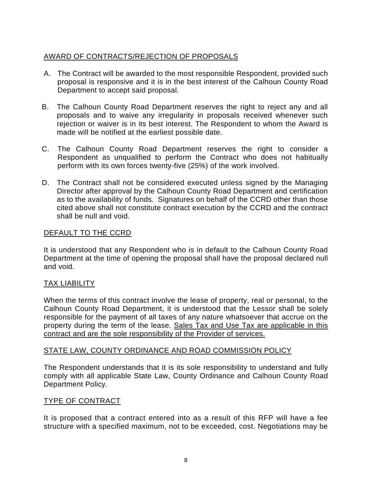## AWARD OF CONTRACTS/REJECTION OF PROPOSALS

- A. The Contract will be awarded to the most responsible Respondent, provided such proposal is responsive and it is in the best interest of the Calhoun County Road Department to accept said proposal.
- B. The Calhoun County Road Department reserves the right to reject any and all proposals and to waive any irregularity in proposals received whenever such rejection or waiver is in its best interest. The Respondent to whom the Award is made will be notified at the earliest possible date.
- C. The Calhoun County Road Department reserves the right to consider a Respondent as unqualified to perform the Contract who does not habitually perform with its own forces twenty-five (25%) of the work involved.
- D. The Contract shall not be considered executed unless signed by the Managing Director after approval by the Calhoun County Road Department and certification as to the availability of funds. Signatures on behalf of the CCRD other than those cited above shall not constitute contract execution by the CCRD and the contract shall be null and void.

## DEFAULT TO THE CCRD

It is understood that any Respondent who is in default to the Calhoun County Road Department at the time of opening the proposal shall have the proposal declared null and void.

## TAX LIABILITY

When the terms of this contract involve the lease of property, real or personal, to the Calhoun County Road Department, it is understood that the Lessor shall be solely responsible for the payment of all taxes of any nature whatsoever that accrue on the property during the term of the lease. Sales Tax and Use Tax are applicable in this contract and are the sole responsibility of the Provider of services.

## STATE LAW, COUNTY ORDINANCE AND ROAD COMMISSION POLICY

The Respondent understands that it is its sole responsibility to understand and fully comply with all applicable State Law, County Ordinance and Calhoun County Road Department Policy.

## TYPE OF CONTRACT

It is proposed that a contract entered into as a result of this RFP will have a fee structure with a specified maximum, not to be exceeded, cost. Negotiations may be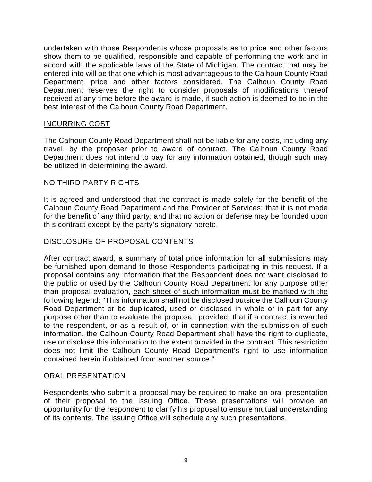undertaken with those Respondents whose proposals as to price and other factors show them to be qualified, responsible and capable of performing the work and in accord with the applicable laws of the State of Michigan. The contract that may be entered into will be that one which is most advantageous to the Calhoun County Road Department, price and other factors considered. The Calhoun County Road Department reserves the right to consider proposals of modifications thereof received at any time before the award is made, if such action is deemed to be in the best interest of the Calhoun County Road Department.

#### INCURRING COST

The Calhoun County Road Department shall not be liable for any costs, including any travel, by the proposer prior to award of contract. The Calhoun County Road Department does not intend to pay for any information obtained, though such may be utilized in determining the award.

#### NO THIRD-PARTY RIGHTS

It is agreed and understood that the contract is made solely for the benefit of the Calhoun County Road Department and the Provider of Services; that it is not made for the benefit of any third party; and that no action or defense may be founded upon this contract except by the party's signatory hereto.

#### DISCLOSURE OF PROPOSAL CONTENTS

After contract award, a summary of total price information for all submissions may be furnished upon demand to those Respondents participating in this request. If a proposal contains any information that the Respondent does not want disclosed to the public or used by the Calhoun County Road Department for any purpose other than proposal evaluation, each sheet of such information must be marked with the following legend: "This information shall not be disclosed outside the Calhoun County Road Department or be duplicated, used or disclosed in whole or in part for any purpose other than to evaluate the proposal; provided, that if a contract is awarded to the respondent, or as a result of, or in connection with the submission of such information, the Calhoun County Road Department shall have the right to duplicate, use or disclose this information to the extent provided in the contract. This restriction does not limit the Calhoun County Road Department's right to use information contained herein if obtained from another source."

#### ORAL PRESENTATION

Respondents who submit a proposal may be required to make an oral presentation of their proposal to the Issuing Office. These presentations will provide an opportunity for the respondent to clarify his proposal to ensure mutual understanding of its contents. The issuing Office will schedule any such presentations.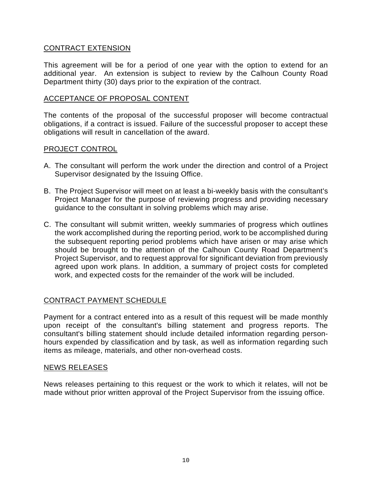### CONTRACT EXTENSION

This agreement will be for a period of one year with the option to extend for an additional year. An extension is subject to review by the Calhoun County Road Department thirty (30) days prior to the expiration of the contract.

#### ACCEPTANCE OF PROPOSAL CONTENT

The contents of the proposal of the successful proposer will become contractual obligations, if a contract is issued. Failure of the successful proposer to accept these obligations will result in cancellation of the award.

#### PROJECT CONTROL

- A. The consultant will perform the work under the direction and control of a Project Supervisor designated by the Issuing Office.
- B. The Project Supervisor will meet on at least a bi-weekly basis with the consultant's Project Manager for the purpose of reviewing progress and providing necessary guidance to the consultant in solving problems which may arise.
- C. The consultant will submit written, weekly summaries of progress which outlines the work accomplished during the reporting period, work to be accomplished during the subsequent reporting period problems which have arisen or may arise which should be brought to the attention of the Calhoun County Road Department's Project Supervisor, and to request approval for significant deviation from previously agreed upon work plans. In addition, a summary of project costs for completed work, and expected costs for the remainder of the work will be included.

#### CONTRACT PAYMENT SCHEDULE

Payment for a contract entered into as a result of this request will be made monthly upon receipt of the consultant's billing statement and progress reports. The consultant's billing statement should include detailed information regarding personhours expended by classification and by task, as well as information regarding such items as mileage, materials, and other non-overhead costs.

#### NEWS RELEASES

News releases pertaining to this request or the work to which it relates, will not be made without prior written approval of the Project Supervisor from the issuing office.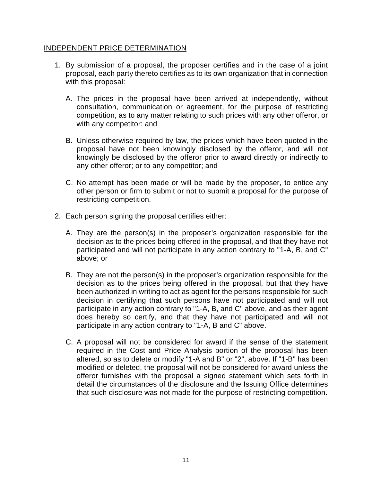#### INDEPENDENT PRICE DETERMINATION

- 1. By submission of a proposal, the proposer certifies [and in](http://and.in/) the case of a joint proposal, each party thereto certifies as to its own organization that in connection with this proposal:
	- A. The prices in the proposal have been arrived at independently, without consultation, communication or agreement, for the purpose of restricting competition, as to any matter relating to such prices with any other offeror, or with any competitor: and
	- B. Unless otherwise required by law, the prices which have been quoted in the proposal have not been knowingly disclosed by the offeror, and will not knowingly be disclosed by the offeror prior to award directly or indirectly to any other offeror; or to any competitor; and
	- C. No attempt has been made or will be made by the proposer, to entice any other person or firm to submit or not to submit a proposal for the purpose of restricting competition.
- 2. Each person signing the proposal certifies either:
	- A. They are the person(s) in the proposer's organization responsible for the decision as to the prices being offered in the proposal, and that they have not participated and will not participate in any action contrary to "1-A, B, and C" above; or
	- B. They are not the person(s) in the proposer's organization responsible for the decision as to the prices being offered in the proposal, but that they have been authorized in writing to act as agent for the persons responsible for such decision in certifying that such persons have not participated and will not participate in any action contrary to "1-A, B, and C" above, and as their agent does hereby so certify, and that they have not participated and will not participate in any action contrary to "1-A, B and C" above.
	- C. A proposal will not be considered for award if the sense of the statement required in the Cost and Price Analysis portion of the proposal has been altered, so as to delete or modify "1-A and B" or "2", above. If "1-B" has been modified or deleted, the proposal will not be considered for award unless the offeror furnishes with the proposal a signed statement which sets forth in detail the circumstances of the disclosure and the Issuing Office determines that such disclosure was not made for the purpose of restricting competition.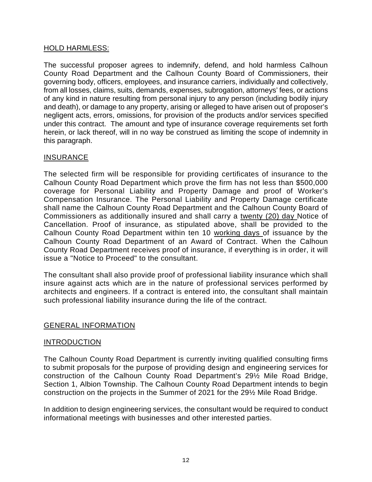#### HOLD HARMLESS:

The successful proposer agrees to indemnify, defend, and hold harmless Calhoun County Road Department and the Calhoun County Board of Commissioners, their governing body, officers, employees, and insurance carriers, individually and collectively, from all losses, claims, suits, demands, expenses, subrogation, attorneys' fees, or actions of any kind in nature resulting from personal injury to any person (including bodily injury and death), or damage to any property, arising or alleged to have arisen out of proposer's negligent acts, errors, omissions, for provision of the products and/or services specified under this contract. The amount and type of insurance coverage requirements set forth herein, or lack thereof, will in no way be construed as limiting the scope of indemnity in this paragraph.

## INSURANCE

The selected firm will be responsible for providing certificates of insurance to the Calhoun County Road Department which prove the firm has not less than \$500,000 coverage for Personal Liability and Property Damage and proof of Worker's Compensation Insurance. The Personal Liability and Property Damage certificate shall name the Calhoun County Road Department and the Calhoun County Board of Commissioners as additionally insured and shall carry a twenty (20) day Notice of Cancellation. Proof of insurance, as stipulated above, shall be provided to the Calhoun County Road Department within ten 10 working days of issuance by the Calhoun County Road Department of an Award of Contract. When the Calhoun County Road Department receives proof of insurance, if everything is in order, it will issue a "Notice to Proceed" to the consultant.

The consultant shall also provide proof of professional liability insurance which shall insure against acts which are in the nature of professional services performed by architects and engineers. If a contract is entered into, the consultant shall maintain such professional liability insurance during the life of the contract.

#### GENERAL INFORMATION

#### INTRODUCTION

The Calhoun County Road Department is currently inviting qualified consulting firms to submit proposals for the purpose of providing design and engineering services for construction of the Calhoun County Road Department's 29½ Mile Road Bridge, Section 1, Albion Township. The Calhoun County Road Department intends to begin construction on the projects in the Summer of 2021 for the 29½ Mile Road Bridge.

In addition to design engineering services, the consultant would be required to conduct informational meetings with businesses and other interested parties.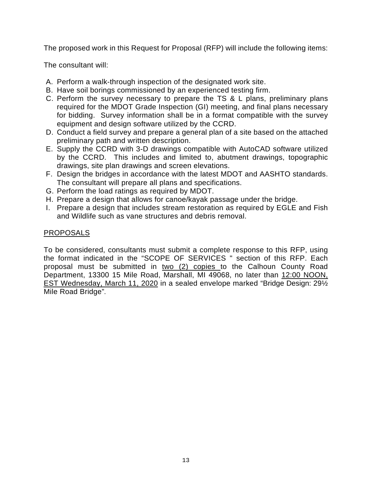The proposed work in this Request for Proposal (RFP) will include the following items:

The consultant will:

- A. Perform a walk-through inspection of the designated work site.
- B. Have soil borings commissioned by an experienced testing firm.
- C. Perform the survey necessary to prepare the TS & L plans, preliminary plans required for the MDOT Grade Inspection (GI) meeting, and final plans necessary for bidding. Survey information shall be in a format compatible with the survey equipment and design software utilized by the CCRD.
- D. Conduct a field survey and prepare a general plan of a site based on the attached preliminary path and written description.
- E. Supply the CCRD with 3-D drawings compatible with AutoCAD software utilized by the CCRD. This includes and limited to, abutment drawings, topographic drawings, site plan drawings and screen elevations.
- F. Design the bridges in accordance with the latest MDOT and AASHTO standards. The consultant will prepare all plans and specifications.
- G. Perform the load ratings as required by MDOT.
- H. Prepare a design that allows for canoe/kayak passage under the bridge.
- I. Prepare a design that includes stream restoration as required by EGLE and Fish and Wildlife such as vane structures and debris removal.

## PROPOSALS

To be considered, consultants must submit a complete response to this RFP, using the format indicated in the "SCOPE OF SERVICES " section of this RFP. Each proposal must be submitted in two (2) copies to the Calhoun County Road Department, 13300 15 Mile Road, Marshall, MI 49068, no later than 12:00 NOON, EST Wednesday, March 11, 2020 in a sealed envelope marked "Bridge Design: 29½ Mile Road Bridge".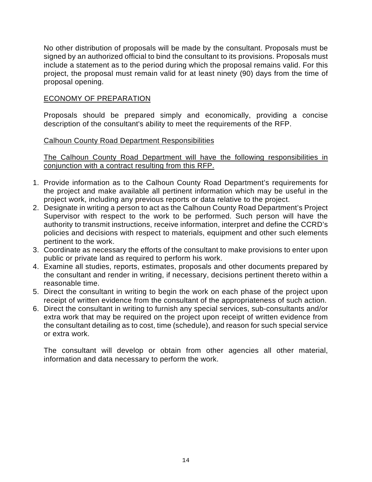No other distribution of proposals will be made by the consultant. Proposals must be signed by an authorized official to bind the consultant to its provisions. Proposals must include a statement as to the period during which the proposal remains valid. For this project, the proposal must remain valid for at least ninety (90) days from the time of proposal opening.

### ECONOMY OF PREPARATION

Proposals should be prepared simply and economically, providing a concise description of the consultant's ability to meet the requirements of the RFP.

## Calhoun County Road Department Responsibilities

The Calhoun County Road Department will have the following responsibilities in conjunction with a contract resulting from this RFP.

- 1. Provide information as to the Calhoun County Road Department's requirements for the project and make available all pertinent information which may be useful in the project work, including any previous reports or data relative to the project.
- 2. Designate in writing a person to act as the Calhoun County Road Department's Project Supervisor with respect to the work to be performed. Such person will have the authority to transmit instructions, receive information, interpret and define the CCRD's policies and decisions with respect to materials, equipment and other such elements pertinent to the work.
- 3. Coordinate as necessary the efforts of the consultant to make provisions to enter upon public or private land as required to perform his work.
- 4. Examine all studies, reports, estimates, proposals and other documents prepared by the consultant and render in writing, if necessary, decisions pertinent thereto within a reasonable time.
- 5. Direct the consultant in writing to begin the work on each phase of the project upon receipt of written evidence from the consultant of the appropriateness of such action.
- 6. Direct the consultant in writing to furnish any special services, sub-consultants and/or extra work that may be required on the project upon receipt of written evidence from the consultant detailing as to cost, time (schedule), and reason for such special service or extra work.

The consultant will develop or obtain from other agencies all other material, information and data necessary to perform the work.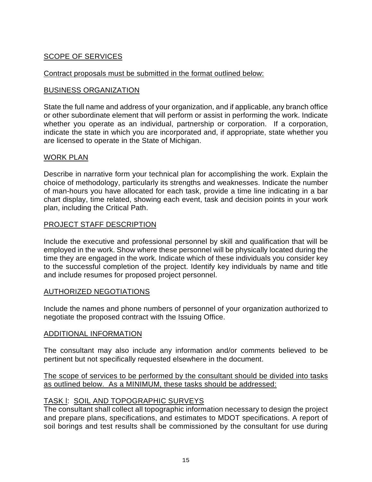## SCOPE OF SERVICES

## Contract proposals must be submitted in the format outlined below:

### BUSINESS ORGANIZATION

State the full name and address of your organization, and if applicable, any branch office or other subordinate element that will perform or assist in performing the work. Indicate whether you operate as an individual, partnership or corporation. If a corporation, indicate the state in which you are incorporated and, if appropriate, state whether you are licensed to operate in the State of Michigan.

#### WORK PLAN

Describe in narrative form your technical plan for accomplishing the work. Explain the choice of methodology, particularly its strengths and weaknesses. Indicate the number of man-hours you have allocated for each task, provide a time line indicating in a bar chart display, time related, showing each event, task and decision points in your work plan, including the Critical Path.

## PROJECT STAFF DESCRIPTION

Include the executive and professional personnel by skill and qualification that will be employed in the work. Show where these personnel will be physically located during the time they are engaged in the work. Indicate which of these individuals you consider key to the successful completion of the project. Identify key individuals by name and title and include resumes for proposed project personnel.

#### AUTHORIZED NEGOTIATIONS

Include the names and phone numbers of personnel of your organization authorized to negotiate the proposed contract with the Issuing Office.

#### ADDITIONAL INFORMATION

The consultant may also include any information and/or comments believed to be pertinent but not specifically requested elsewhere in the document.

#### The scope of services to be performed by the consultant should be divided into tasks as outlined below. As a MINIMUM, these tasks should be addressed:

#### TASK l: SOIL AND TOPOGRAPHIC SURVEYS

The consultant shall collect all topographic information necessary to design the project and prepare plans, specifications, and estimates to MDOT specifications. A report of soil borings and test results shall be commissioned by the consultant for use during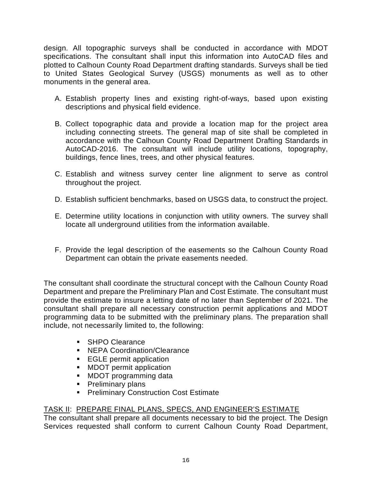design. All topographic surveys shall be conducted in accordance with MDOT specifications. The consultant shall input this information into AutoCAD files and plotted to Calhoun County Road Department drafting standards. Surveys shall be tied to United States Geological Survey (USGS) monuments as well as to other monuments in the general area.

- A. Establish property lines and existing right-of-ways, based upon existing descriptions and physical field evidence.
- B. Collect topographic data and provide a location map for the project area including connecting streets. The general map of site shall be completed in accordance with the Calhoun County Road Department Drafting Standards in AutoCAD-2016. The consultant will include utility locations, topography, buildings, fence lines, trees, and other physical features.
- C. Establish and witness survey center line alignment to serve as control throughout the project.
- D. Establish sufficient benchmarks, based on USGS data, to construct the project.
- E. Determine utility locations in conjunction with utility owners. The survey shall locate all underground utilities from the information available.
- F. Provide the legal description of the easements so the Calhoun County Road Department can obtain the private easements needed.

The consultant shall coordinate the structural concept with the Calhoun County Road Department and prepare the Preliminary Plan and Cost Estimate. The consultant must provide the estimate to insure a letting date of no later than September of 2021. The consultant shall prepare all necessary construction permit applications and MDOT programming data to be submitted with the preliminary plans. The preparation shall include, not necessarily limited to, the following:

- **SHPO Clearance**
- **NEPA Coordination/Clearance**
- **EGLE permit application**
- **MDOT** permit application
- MDOT programming data
- **Preliminary plans**
- **Preliminary Construction Cost Estimate**

## TASK II: PREPARE FINAL PLANS, SPECS, AND ENGINEER'S ESTIMATE

The consultant shall prepare all documents necessary to bid the project. The Design Services requested shall conform to current Calhoun County Road Department,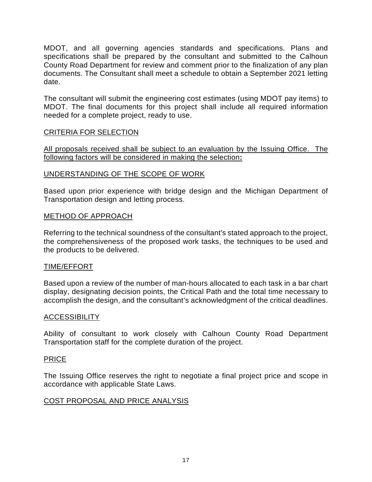MDOT, and all governing agencies standards and specifications. Plans and specifications shall be prepared by the consultant and submitted to the Calhoun County Road Department for review and comment prior to the finalization of any plan documents. The Consultant shall meet a schedule to obtain a September 2021 letting date.

The consultant will submit the engineering cost estimates (using MDOT pay items) to MDOT. The final documents for this project shall include all required information needed for a complete project, ready to use.

#### CRITERIA FOR SELECTION

All proposals received shall be subject to an evaluation by the Issuing Office. The following factors will be considered in making the selection**:**

## UNDERSTANDING OF THE SCOPE OF WORK

Based upon prior experience with bridge design and the Michigan Department of Transportation design and letting process.

## METHOD OF APPROACH

Referring to the technical soundness of the consultant's stated approach to the project, the comprehensiveness of the proposed work tasks, the techniques to be used and the products to be delivered.

#### TIME/EFFORT

Based upon a review of the number of man-hours allocated to each task in a bar chart display, designating decision points, the Critical Path and the total time necessary to accomplish the design, and the consultant's acknowledgment of the critical deadlines.

#### ACCESSIBILITY

Ability of consultant to work closely with Calhoun County Road Department Transportation staff for the complete duration of the project.

#### PRICE

The Issuing Office reserves the right to negotiate a final project price and scope in accordance with applicable State Laws.

## COST PROPOSAL AND PRICE ANALYSIS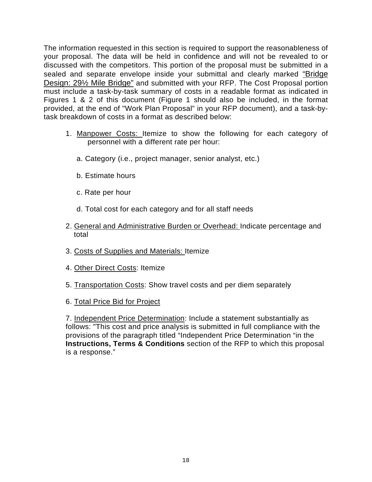The information requested in this section is required to support the reasonableness of your proposal. The data will be held in confidence and will not be revealed to or discussed with the competitors. This portion of the proposal must be submitted in a sealed and separate envelope inside your submittal and clearly marked "Bridge Design: 29½ Mile Bridge" and submitted with your RFP. The Cost Proposal portion must include a task-by-task summary of costs in a readable format as indicated in Figures 1 & 2 of this document (Figure 1 should also be included, in the format provided, at the end of "Work Plan Proposal" in your RFP document), and a task-bytask breakdown of costs in a format as described below:

- 1. Manpower Costs: Itemize to show the following for each category of personnel with a different rate per hour:
	- a. Category (i.e., project manager, senior analyst, etc.)
	- b. Estimate hours
	- c. Rate per hour
	- d. Total cost for each category and for all staff needs
- 2. General and Administrative Burden or Overhead: Indicate percentage and total
- 3. Costs of Supplies and Materials: Itemize
- 4. Other Direct Costs: Itemize
- 5. Transportation Costs: Show travel costs and per diem separately
- 6. Total Price Bid for Project

7. Independent Price Determination: Include a statement substantially as follows: "This cost and price analysis is submitted in full compliance with the provisions of the paragraph titled "Independent Price Determination "in the **Instructions, Terms & Conditions** section of the RFP to which this proposal is a response."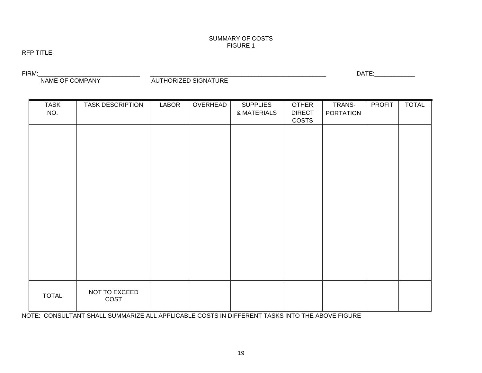#### SUMMARY OF COSTS FIGURE 1

#### RFP TITLE:

FIRM:\_\_\_\_\_\_\_\_\_\_\_\_\_\_\_\_\_\_\_\_\_\_\_\_\_\_\_\_\_\_ \_\_\_\_\_\_\_\_\_\_\_\_\_\_\_\_\_\_\_\_\_\_\_\_\_\_\_\_\_\_\_\_\_\_\_\_\_\_\_\_\_\_\_\_\_\_\_\_\_\_\_\_ DATE:\_\_\_\_\_\_\_\_\_\_\_\_ AUTHORIZED SIGNATURE

| <b>TASK</b>  | <b>TASK DESCRIPTION</b> | <b>LABOR</b> | OVERHEAD | <b>SUPPLIES</b> | <b>OTHER</b>           | TRANS-           | <b>PROFIT</b> | <b>TOTAL</b> |
|--------------|-------------------------|--------------|----------|-----------------|------------------------|------------------|---------------|--------------|
| NO.          |                         |              |          | & MATERIALS     | <b>DIRECT</b><br>COSTS | <b>PORTATION</b> |               |              |
|              |                         |              |          |                 |                        |                  |               |              |
|              |                         |              |          |                 |                        |                  |               |              |
|              |                         |              |          |                 |                        |                  |               |              |
|              |                         |              |          |                 |                        |                  |               |              |
|              |                         |              |          |                 |                        |                  |               |              |
|              |                         |              |          |                 |                        |                  |               |              |
|              |                         |              |          |                 |                        |                  |               |              |
|              |                         |              |          |                 |                        |                  |               |              |
|              |                         |              |          |                 |                        |                  |               |              |
|              |                         |              |          |                 |                        |                  |               |              |
|              |                         |              |          |                 |                        |                  |               |              |
|              |                         |              |          |                 |                        |                  |               |              |
|              |                         |              |          |                 |                        |                  |               |              |
| <b>TOTAL</b> | NOT TO EXCEED<br>COST   |              |          |                 |                        |                  |               |              |

NOTE: CONSULTANT SHALL SUMMARIZE ALL APPLICABLE COSTS IN DIFFERENT TASKS INTO THE ABOVE FIGURE